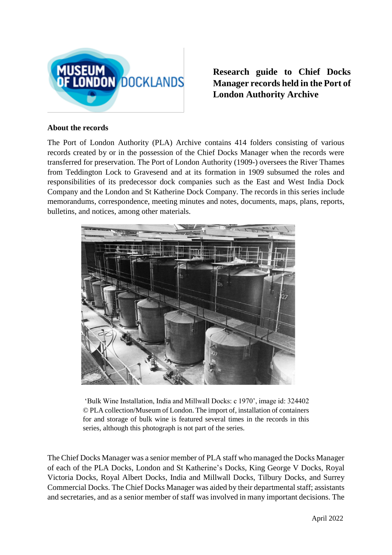

**Research guide to Chief Docks Manager records held in the Port of London Authority Archive**

## **About the records**

The Port of London Authority (PLA) Archive contains 414 folders consisting of various records created by or in the possession of the Chief Docks Manager when the records were transferred for preservation. The Port of London Authority (1909-) oversees the River Thames from Teddington Lock to Gravesend and at its formation in 1909 subsumed the roles and responsibilities of its predecessor dock companies such as the East and West India Dock Company and the London and St Katherine Dock Company. The records in this series include memorandums, correspondence, meeting minutes and notes, documents, maps, plans, reports, bulletins, and notices, among other materials.



'Bulk Wine Installation, India and Millwall Docks: c 1970', image id: 324402 © PLA collection/Museum of London. The import of, installation of containers for and storage of bulk wine is featured several times in the records in this series, although this photograph is not part of the series.

The Chief Docks Manager was a senior member of PLA staff who managed the Docks Manager of each of the PLA Docks, London and St Katherine's Docks, King George V Docks, Royal Victoria Docks, Royal Albert Docks, India and Millwall Docks, Tilbury Docks, and Surrey Commercial Docks. The Chief Docks Manager was aided by their departmental staff; assistants and secretaries, and as a senior member of staff was involved in many important decisions. The